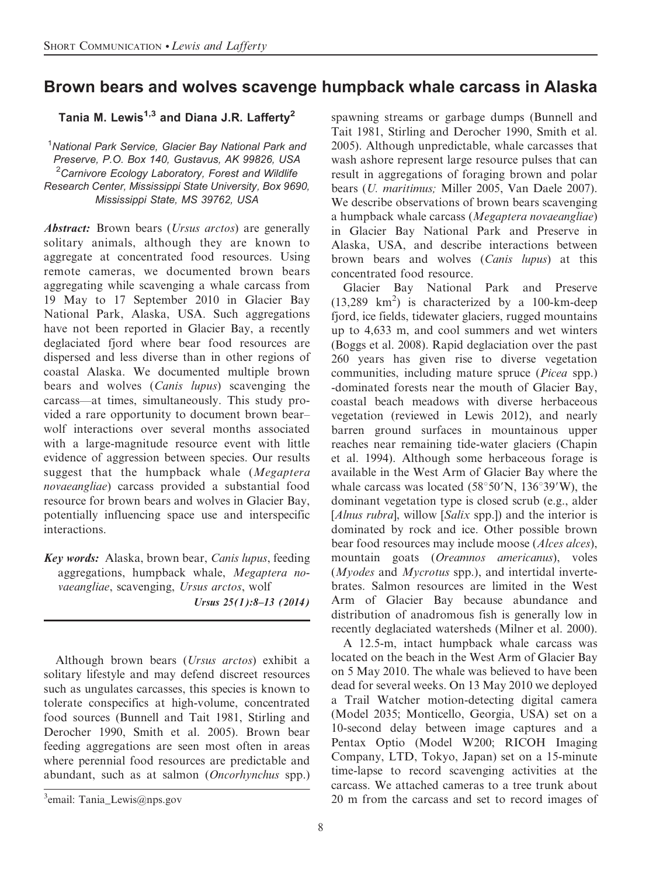## Brown bears and wolves scavenge humpback whale carcass in Alaska

Tania M. Lewis<sup>1,3</sup> and Diana J.R. Laffertv<sup>2</sup>

<sup>1</sup>National Park Service, Glacier Bay National Park and Preserve, P.O. Box 140, Gustavus, AK 99826, USA <sup>2</sup>Carnivore Ecology Laboratory, Forest and Wildlife Research Center, Mississippi State University, Box 9690, Mississippi State, MS 39762, USA

Abstract: Brown bears (Ursus arctos) are generally solitary animals, although they are known to aggregate at concentrated food resources. Using remote cameras, we documented brown bears aggregating while scavenging a whale carcass from 19 May to 17 September 2010 in Glacier Bay National Park, Alaska, USA. Such aggregations have not been reported in Glacier Bay, a recently deglaciated fjord where bear food resources are dispersed and less diverse than in other regions of coastal Alaska. We documented multiple brown bears and wolves (Canis lupus) scavenging the carcass—at times, simultaneously. This study provided a rare opportunity to document brown bear– wolf interactions over several months associated with a large-magnitude resource event with little evidence of aggression between species. Our results suggest that the humpback whale (Megaptera novaeangliae) carcass provided a substantial food resource for brown bears and wolves in Glacier Bay, potentially influencing space use and interspecific interactions.

Key words: Alaska, brown bear, Canis lupus, feeding aggregations, humpback whale, Megaptera novaeangliae, scavenging, Ursus arctos, wolf Ursus 25(1):8–13 (2014)

Although brown bears (Ursus arctos) exhibit a solitary lifestyle and may defend discreet resources such as ungulates carcasses, this species is known to tolerate conspecifics at high-volume, concentrated food sources (Bunnell and Tait 1981, Stirling and Derocher 1990, Smith et al. 2005). Brown bear feeding aggregations are seen most often in areas where perennial food resources are predictable and abundant, such as at salmon (Oncorhynchus spp.) spawning streams or garbage dumps (Bunnell and Tait 1981, Stirling and Derocher 1990, Smith et al. 2005). Although unpredictable, whale carcasses that wash ashore represent large resource pulses that can result in aggregations of foraging brown and polar bears (U. maritimus; Miller 2005, Van Daele 2007). We describe observations of brown bears scavenging a humpback whale carcass (Megaptera novaeangliae) in Glacier Bay National Park and Preserve in Alaska, USA, and describe interactions between brown bears and wolves (Canis lupus) at this concentrated food resource.

Glacier Bay National Park and Preserve  $(13,289 \text{ km}^2)$  is characterized by a 100-km-deep fjord, ice fields, tidewater glaciers, rugged mountains up to 4,633 m, and cool summers and wet winters (Boggs et al. 2008). Rapid deglaciation over the past 260 years has given rise to diverse vegetation communities, including mature spruce (Picea spp.) -dominated forests near the mouth of Glacier Bay, coastal beach meadows with diverse herbaceous vegetation (reviewed in Lewis 2012), and nearly barren ground surfaces in mountainous upper reaches near remaining tide-water glaciers (Chapin et al. 1994). Although some herbaceous forage is available in the West Arm of Glacier Bay where the whale carcass was located  $(58°50'N, 136°39'W)$ , the dominant vegetation type is closed scrub (e.g., alder [Alnus rubra], willow [Salix spp.]) and the interior is dominated by rock and ice. Other possible brown bear food resources may include moose (Alces alces), mountain goats (Oreamnos americanus), voles  $(Myodes$  and  $Mycrotus$  spp.), and intertidal invertebrates. Salmon resources are limited in the West Arm of Glacier Bay because abundance and distribution of anadromous fish is generally low in recently deglaciated watersheds (Milner et al. 2000).

A 12.5-m, intact humpback whale carcass was located on the beach in the West Arm of Glacier Bay on 5 May 2010. The whale was believed to have been dead for several weeks. On 13 May 2010 we deployed a Trail Watcher motion-detecting digital camera (Model 2035; Monticello, Georgia, USA) set on a 10-second delay between image captures and a Pentax Optio (Model W200; RICOH Imaging Company, LTD, Tokyo, Japan) set on a 15-minute time-lapse to record scavenging activities at the carcass. We attached cameras to a tree trunk about 20 m from the carcass and set to record images of <sup>3</sup>

 $\alpha^3$ email: Tania\_Lewis@nps.gov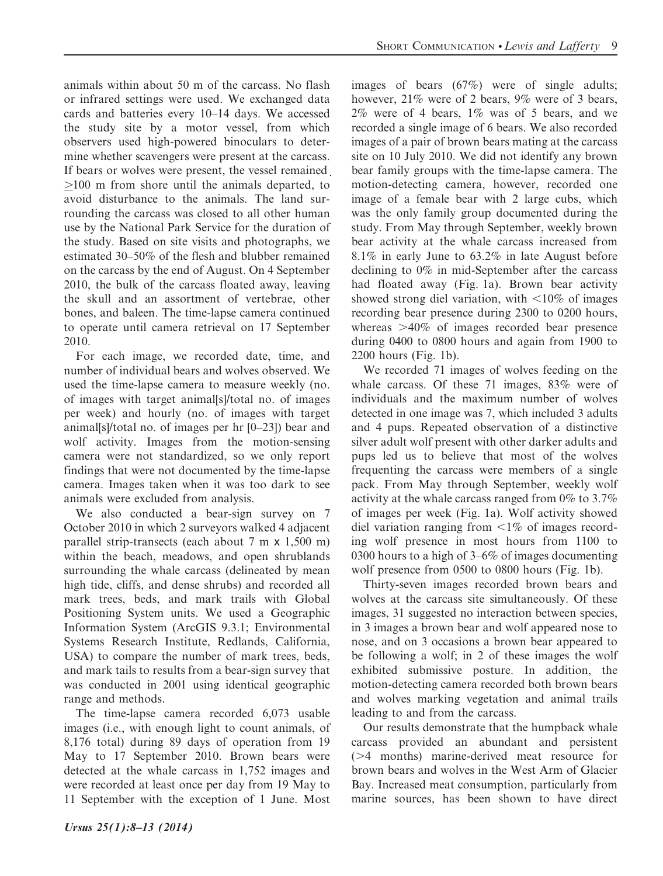animals within about 50 m of the carcass. No flash or infrared settings were used. We exchanged data cards and batteries every 10–14 days. We accessed the study site by a motor vessel, from which observers used high-powered binoculars to determine whether scavengers were present at the carcass. If bears or wolves were present, the vessel remained  $\geq$ 100 m from shore until the animals departed, to avoid disturbance to the animals. The land surrounding the carcass was closed to all other human use by the National Park Service for the duration of the study. Based on site visits and photographs, we estimated 30–50% of the flesh and blubber remained on the carcass by the end of August. On 4 September 2010, the bulk of the carcass floated away, leaving the skull and an assortment of vertebrae, other bones, and baleen. The time-lapse camera continued to operate until camera retrieval on 17 September 2010.

For each image, we recorded date, time, and number of individual bears and wolves observed. We used the time-lapse camera to measure weekly (no. of images with target animal[s]/total no. of images per week) and hourly (no. of images with target animal[s]/total no. of images per hr [0–23]) bear and wolf activity. Images from the motion-sensing camera were not standardized, so we only report findings that were not documented by the time-lapse camera. Images taken when it was too dark to see animals were excluded from analysis.

We also conducted a bear-sign survey on 7 October 2010 in which 2 surveyors walked 4 adjacent parallel strip-transects (each about 7 m x 1,500 m) within the beach, meadows, and open shrublands surrounding the whale carcass (delineated by mean high tide, cliffs, and dense shrubs) and recorded all mark trees, beds, and mark trails with Global Positioning System units. We used a Geographic Information System (ArcGIS 9.3.1; Environmental Systems Research Institute, Redlands, California, USA) to compare the number of mark trees, beds, and mark tails to results from a bear-sign survey that was conducted in 2001 using identical geographic range and methods.

The time-lapse camera recorded 6,073 usable images (i.e., with enough light to count animals, of 8,176 total) during 89 days of operation from 19 May to 17 September 2010. Brown bears were detected at the whale carcass in 1,752 images and were recorded at least once per day from 19 May to 11 September with the exception of 1 June. Most images of bears (67%) were of single adults; however, 21% were of 2 bears, 9% were of 3 bears, 2% were of 4 bears, 1% was of 5 bears, and we recorded a single image of 6 bears. We also recorded images of a pair of brown bears mating at the carcass site on 10 July 2010. We did not identify any brown bear family groups with the time-lapse camera. The motion-detecting camera, however, recorded one image of a female bear with 2 large cubs, which was the only family group documented during the study. From May through September, weekly brown bear activity at the whale carcass increased from 8.1% in early June to 63.2% in late August before declining to 0% in mid-September after the carcass had floated away (Fig. 1a). Brown bear activity showed strong diel variation, with  $\leq 10\%$  of images recording bear presence during 2300 to 0200 hours, whereas  $>40\%$  of images recorded bear presence during 0400 to 0800 hours and again from 1900 to 2200 hours (Fig. 1b).

We recorded 71 images of wolves feeding on the whale carcass. Of these 71 images, 83% were of individuals and the maximum number of wolves detected in one image was 7, which included 3 adults and 4 pups. Repeated observation of a distinctive silver adult wolf present with other darker adults and pups led us to believe that most of the wolves frequenting the carcass were members of a single pack. From May through September, weekly wolf activity at the whale carcass ranged from 0% to 3.7% of images per week (Fig. 1a). Wolf activity showed diel variation ranging from  $\leq 1\%$  of images recording wolf presence in most hours from 1100 to 0300 hours to a high of 3–6% of images documenting wolf presence from 0500 to 0800 hours (Fig. 1b).

Thirty-seven images recorded brown bears and wolves at the carcass site simultaneously. Of these images, 31 suggested no interaction between species, in 3 images a brown bear and wolf appeared nose to nose, and on 3 occasions a brown bear appeared to be following a wolf; in 2 of these images the wolf exhibited submissive posture. In addition, the motion-detecting camera recorded both brown bears and wolves marking vegetation and animal trails leading to and from the carcass.

Our results demonstrate that the humpback whale carcass provided an abundant and persistent ( $>4$  months) marine-derived meat resource for brown bears and wolves in the West Arm of Glacier Bay. Increased meat consumption, particularly from marine sources, has been shown to have direct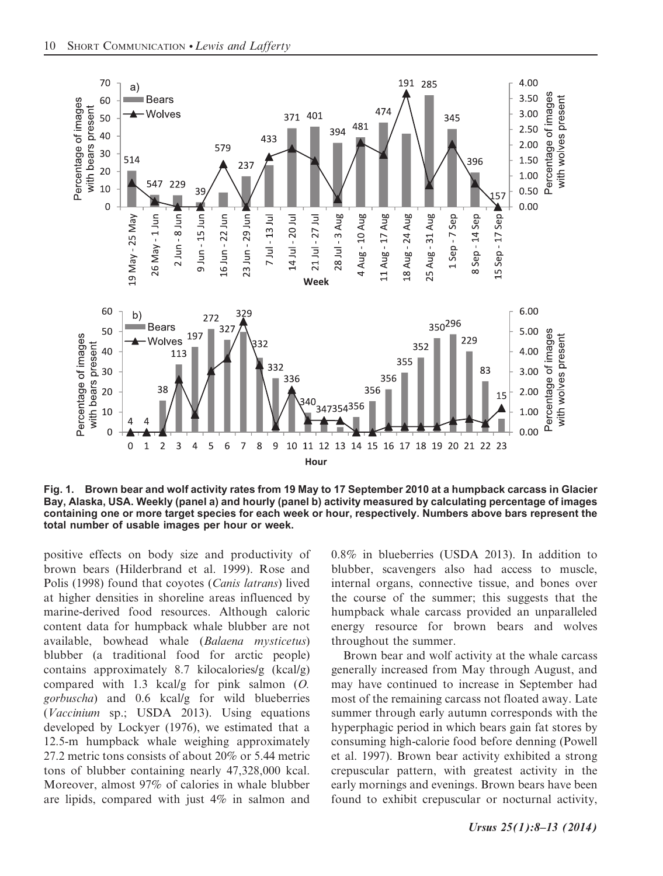

Fig. 1. Brown bear and wolf activity rates from 19 May to 17 September 2010 at a humpback carcass in Glacier Bay, Alaska, USA. Weekly (panel a) and hourly (panel b) activity measured by calculating percentage of images containing one or more target species for each week or hour, respectively. Numbers above bars represent the total number of usable images per hour or week.

positive effects on body size and productivity of brown bears (Hilderbrand et al. 1999). Rose and Polis (1998) found that coyotes (Canis latrans) lived at higher densities in shoreline areas influenced by marine-derived food resources. Although caloric content data for humpback whale blubber are not available, bowhead whale (Balaena mysticetus) blubber (a traditional food for arctic people) contains approximately 8.7 kilocalories/g (kcal/g) compared with 1.3 kcal/g for pink salmon (O. gorbuscha) and 0.6 kcal/g for wild blueberries (Vaccinium sp.; USDA 2013). Using equations developed by Lockyer (1976), we estimated that a 12.5-m humpback whale weighing approximately 27.2 metric tons consists of about 20% or 5.44 metric tons of blubber containing nearly 47,328,000 kcal. Moreover, almost 97% of calories in whale blubber are lipids, compared with just 4% in salmon and

0.8% in blueberries (USDA 2013). In addition to blubber, scavengers also had access to muscle, internal organs, connective tissue, and bones over the course of the summer; this suggests that the humpback whale carcass provided an unparalleled energy resource for brown bears and wolves throughout the summer.

Brown bear and wolf activity at the whale carcass generally increased from May through August, and may have continued to increase in September had most of the remaining carcass not floated away. Late summer through early autumn corresponds with the hyperphagic period in which bears gain fat stores by consuming high-calorie food before denning (Powell et al. 1997). Brown bear activity exhibited a strong crepuscular pattern, with greatest activity in the early mornings and evenings. Brown bears have been found to exhibit crepuscular or nocturnal activity,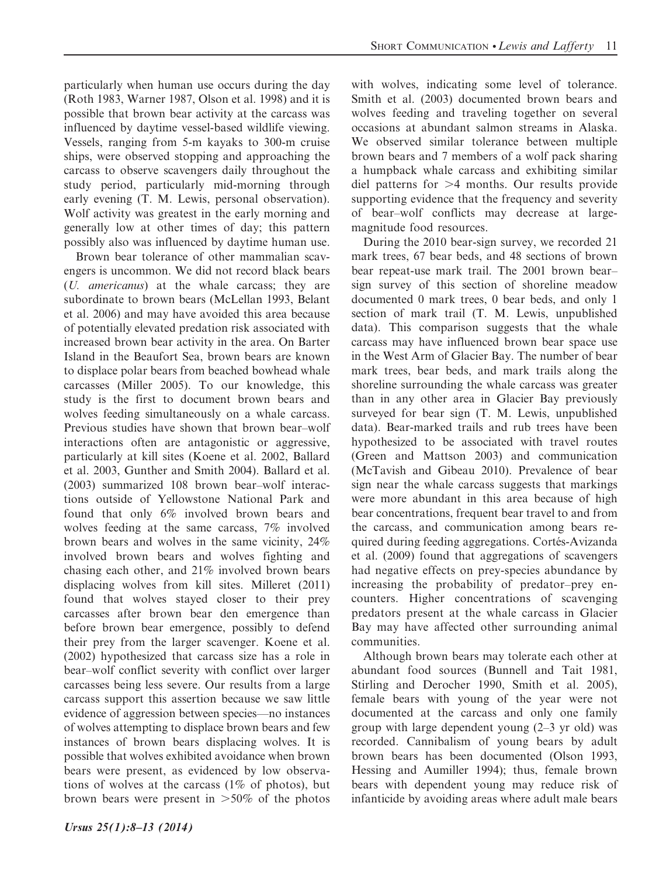particularly when human use occurs during the day (Roth 1983, Warner 1987, Olson et al. 1998) and it is possible that brown bear activity at the carcass was influenced by daytime vessel-based wildlife viewing. Vessels, ranging from 5-m kayaks to 300-m cruise ships, were observed stopping and approaching the carcass to observe scavengers daily throughout the study period, particularly mid-morning through early evening (T. M. Lewis, personal observation). Wolf activity was greatest in the early morning and generally low at other times of day; this pattern possibly also was influenced by daytime human use.

Brown bear tolerance of other mammalian scavengers is uncommon. We did not record black bears (U. americanus) at the whale carcass; they are subordinate to brown bears (McLellan 1993, Belant et al. 2006) and may have avoided this area because of potentially elevated predation risk associated with increased brown bear activity in the area. On Barter Island in the Beaufort Sea, brown bears are known to displace polar bears from beached bowhead whale carcasses (Miller 2005). To our knowledge, this study is the first to document brown bears and wolves feeding simultaneously on a whale carcass. Previous studies have shown that brown bear–wolf interactions often are antagonistic or aggressive, particularly at kill sites (Koene et al. 2002, Ballard et al. 2003, Gunther and Smith 2004). Ballard et al. (2003) summarized 108 brown bear–wolf interactions outside of Yellowstone National Park and found that only 6% involved brown bears and wolves feeding at the same carcass, 7% involved brown bears and wolves in the same vicinity, 24% involved brown bears and wolves fighting and chasing each other, and  $21\%$  involved brown bears displacing wolves from kill sites. Milleret (2011) found that wolves stayed closer to their prey carcasses after brown bear den emergence than before brown bear emergence, possibly to defend their prey from the larger scavenger. Koene et al. (2002) hypothesized that carcass size has a role in bear–wolf conflict severity with conflict over larger carcasses being less severe. Our results from a large carcass support this assertion because we saw little evidence of aggression between species—no instances of wolves attempting to displace brown bears and few instances of brown bears displacing wolves. It is possible that wolves exhibited avoidance when brown bears were present, as evidenced by low observations of wolves at the carcass  $(1\% \text{ of photos})$ , but brown bears were present in  $>50\%$  of the photos

Ursus 25(1):8–13 (2014)

with wolves, indicating some level of tolerance. Smith et al. (2003) documented brown bears and wolves feeding and traveling together on several occasions at abundant salmon streams in Alaska. We observed similar tolerance between multiple brown bears and 7 members of a wolf pack sharing a humpback whale carcass and exhibiting similar diel patterns for  $>4$  months. Our results provide supporting evidence that the frequency and severity of bear–wolf conflicts may decrease at largemagnitude food resources.

During the 2010 bear-sign survey, we recorded 21 mark trees, 67 bear beds, and 48 sections of brown bear repeat-use mark trail. The 2001 brown bear– sign survey of this section of shoreline meadow documented 0 mark trees, 0 bear beds, and only 1 section of mark trail (T. M. Lewis, unpublished data). This comparison suggests that the whale carcass may have influenced brown bear space use in the West Arm of Glacier Bay. The number of bear mark trees, bear beds, and mark trails along the shoreline surrounding the whale carcass was greater than in any other area in Glacier Bay previously surveyed for bear sign (T. M. Lewis, unpublished data). Bear-marked trails and rub trees have been hypothesized to be associated with travel routes (Green and Mattson 2003) and communication (McTavish and Gibeau 2010). Prevalence of bear sign near the whale carcass suggests that markings were more abundant in this area because of high bear concentrations, frequent bear travel to and from the carcass, and communication among bears required during feeding aggregations. Cortés-Avizanda et al. (2009) found that aggregations of scavengers had negative effects on prey-species abundance by increasing the probability of predator–prey encounters. Higher concentrations of scavenging predators present at the whale carcass in Glacier Bay may have affected other surrounding animal communities.

Although brown bears may tolerate each other at abundant food sources (Bunnell and Tait 1981, Stirling and Derocher 1990, Smith et al. 2005), female bears with young of the year were not documented at the carcass and only one family group with large dependent young (2–3 yr old) was recorded. Cannibalism of young bears by adult brown bears has been documented (Olson 1993, Hessing and Aumiller 1994); thus, female brown bears with dependent young may reduce risk of infanticide by avoiding areas where adult male bears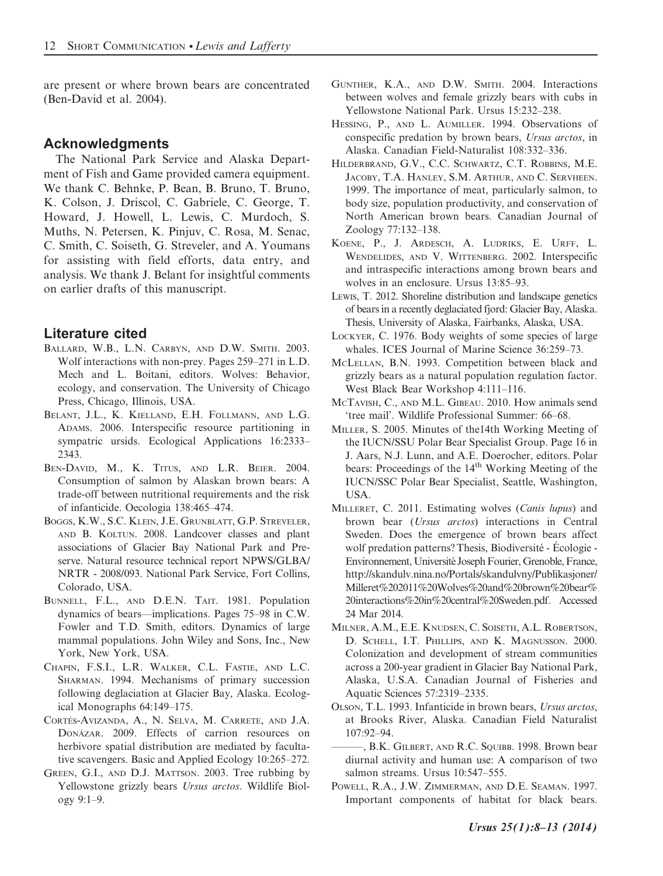are present or where brown bears are concentrated (Ben-David et al. 2004).

## Acknowledgments

The National Park Service and Alaska Department of Fish and Game provided camera equipment. We thank C. Behnke, P. Bean, B. Bruno, T. Bruno, K. Colson, J. Driscol, C. Gabriele, C. George, T. Howard, J. Howell, L. Lewis, C. Murdoch, S. Muths, N. Petersen, K. Pinjuv, C. Rosa, M. Senac, C. Smith, C. Soiseth, G. Streveler, and A. Youmans for assisting with field efforts, data entry, and analysis. We thank J. Belant for insightful comments on earlier drafts of this manuscript.

## Literature cited

- BALLARD, W.B., L.N. CARBYN, AND D.W. SMITH. 2003. Wolf interactions with non-prey. Pages 259–271 in L.D. Mech and L. Boitani, editors. Wolves: Behavior, ecology, and conservation. The University of Chicago Press, Chicago, Illinois, USA.
- BELANT, J.L., K. KIELLAND, E.H. FOLLMANN, AND L.G. ADAMS. 2006. Interspecific resource partitioning in sympatric ursids. Ecological Applications 16:2333– 2343.
- BEN-DAVID, M., K. TITUS, AND L.R. BEIER. 2004. Consumption of salmon by Alaskan brown bears: A trade-off between nutritional requirements and the risk of infanticide. Oecologia 138:465–474.
- BOGGS, K.W., S.C. KLEIN, J.E. GRUNBLATT, G.P. STREVELER, AND B. KOLTUN. 2008. Landcover classes and plant associations of Glacier Bay National Park and Preserve. Natural resource technical report NPWS/GLBA/ NRTR - 2008/093. National Park Service, Fort Collins, Colorado, USA.
- BUNNELL, F.L., AND D.E.N. TAIT. 1981. Population dynamics of bears—implications. Pages 75–98 in C.W. Fowler and T.D. Smith, editors. Dynamics of large mammal populations. John Wiley and Sons, Inc., New York, New York, USA.
- CHAPIN, F.S.I., L.R. WALKER, C.L. FASTIE, AND L.C. SHARMAN. 1994. Mechanisms of primary succession following deglaciation at Glacier Bay, Alaska. Ecological Monographs 64:149–175.
- CORTÉS-AVIZANDA, A., N. SELVA, M. CARRETE, AND J.A. DONÁZAR. 2009. Effects of carrion resources on herbivore spatial distribution are mediated by facultative scavengers. Basic and Applied Ecology 10:265–272.
- GREEN, G.I., AND D.J. MATTSON. 2003. Tree rubbing by Yellowstone grizzly bears Ursus arctos. Wildlife Biology 9:1–9.
- GUNTHER, K.A., AND D.W. SMITH. 2004. Interactions between wolves and female grizzly bears with cubs in Yellowstone National Park. Ursus 15:232–238.
- HESSING, P., AND L. AUMILLER. 1994. Observations of conspecific predation by brown bears, Ursus arctos, in Alaska. Canadian Field-Naturalist 108:332–336.
- HILDERBRAND, G.V., C.C. SCHWARTZ, C.T. ROBBINS, M.E. JACOBY, T.A. HANLEY, S.M. ARTHUR, AND C. SERVHEEN. 1999. The importance of meat, particularly salmon, to body size, population productivity, and conservation of North American brown bears. Canadian Journal of Zoology 77:132–138.
- KOENE, P., J. ARDESCH, A. LUDRIKS, E. URFF, L. WENDELIDES, AND V. WITTENBERG. 2002. Interspecific and intraspecific interactions among brown bears and wolves in an enclosure. Ursus 13:85–93.
- LEWIS, T. 2012. Shoreline distribution and landscape genetics of bears in a recently deglaciated fjord: Glacier Bay, Alaska. Thesis, University of Alaska, Fairbanks, Alaska, USA.
- LOCKYER, C. 1976. Body weights of some species of large whales. ICES Journal of Marine Science 36:259–73.
- MCLELLAN, B.N. 1993. Competition between black and grizzly bears as a natural population regulation factor. West Black Bear Workshop 4:111–116.
- MCTAVISH, C., AND M.L. GIBEAU. 2010. How animals send 'tree mail'. Wildlife Professional Summer: 66–68.
- MILLER, S. 2005. Minutes of the14th Working Meeting of the IUCN/SSU Polar Bear Specialist Group. Page 16 in J. Aars, N.J. Lunn, and A.E. Doerocher, editors. Polar bears: Proceedings of the 14<sup>th</sup> Working Meeting of the IUCN/SSC Polar Bear Specialist, Seattle, Washington, USA.
- MILLERET, C. 2011. Estimating wolves (Canis lupus) and brown bear (Ursus arctos) interactions in Central Sweden. Does the emergence of brown bears affect wolf predation patterns? Thesis, Biodiversité - Écologie -Environnement, Université Joseph Fourier, Grenoble, France, http://skandulv.nina.no/Portals/skandulvny/Publikasjoner/ Milleret%202011%20Wolves%20and%20brown%20bear% 20interactions%20in%20central%20Sweden.pdf. Accessed 24 Mar 2014.
- MILNER, A.M., E.E. KNUDSEN, C. SOISETH, A.L. ROBERTSON, D. SCHELL, I.T. PHILLIPS, AND K. MAGNUSSON. 2000. Colonization and development of stream communities across a 200-year gradient in Glacier Bay National Park, Alaska, U.S.A. Canadian Journal of Fisheries and Aquatic Sciences 57:2319–2335.
- OLSON, T.L. 1993. Infanticide in brown bears, Ursus arctos, at Brooks River, Alaska. Canadian Field Naturalist 107:92–94.
- , B.K. GILBERT, AND R.C. SQUIBB. 1998. Brown bear diurnal activity and human use: A comparison of two salmon streams. Ursus 10:547–555.
- POWELL, R.A., J.W. ZIMMERMAN, AND D.E. SEAMAN. 1997. Important components of habitat for black bears.